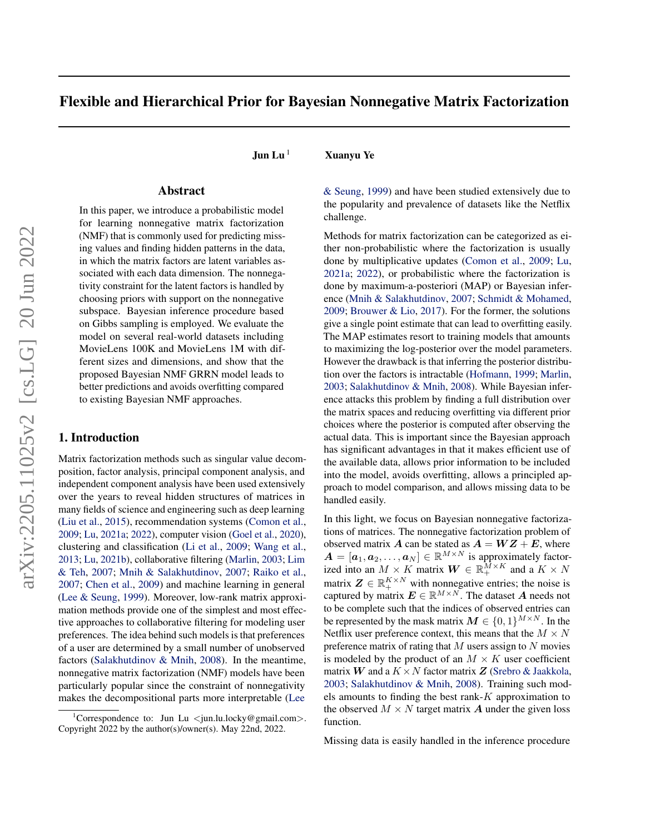# Flexible and Hierarchical Prior for Bayesian Nonnegative Matrix Factorization

**Jun Lu**  $^1$  Xuanyu Ye

## Abstract

In this paper, we introduce a probabilistic model for learning nonnegative matrix factorization (NMF) that is commonly used for predicting missing values and finding hidden patterns in the data, in which the matrix factors are latent variables associated with each data dimension. The nonnegativity constraint for the latent factors is handled by choosing priors with support on the nonnegative subspace. Bayesian inference procedure based on Gibbs sampling is employed. We evaluate the model on several real-world datasets including MovieLens 100K and MovieLens 1M with different sizes and dimensions, and show that the proposed Bayesian NMF GRRN model leads to better predictions and avoids overfitting compared to existing Bayesian NMF approaches.

### 1. Introduction

Matrix factorization methods such as singular value decomposition, factor analysis, principal component analysis, and independent component analysis have been used extensively over the years to reveal hidden structures of matrices in many fields of science and engineering such as deep learning [\(Liu et al.,](#page-7-0) [2015\)](#page-7-0), recommendation systems [\(Comon et al.,](#page-7-0) [2009;](#page-7-0) [Lu,](#page-7-0) [2021a;](#page-7-0) [2022\)](#page-7-0), computer vision [\(Goel et al.,](#page-7-0) [2020\)](#page-7-0), clustering and classification [\(Li et al.,](#page-7-0) [2009;](#page-7-0) [Wang et al.,](#page-7-0) [2013;](#page-7-0) [Lu,](#page-7-0) [2021b\)](#page-7-0), collaborative filtering [\(Marlin,](#page-7-0) [2003;](#page-7-0) [Lim](#page-7-0) [& Teh,](#page-7-0) [2007;](#page-7-0) [Mnih & Salakhutdinov,](#page-7-0) [2007;](#page-7-0) [Raiko et al.,](#page-7-0) [2007;](#page-7-0) [Chen et al.,](#page-7-0) [2009\)](#page-7-0) and machine learning in general [\(Lee & Seung,](#page-7-0) [1999\)](#page-7-0). Moreover, low-rank matrix approximation methods provide one of the simplest and most effective approaches to collaborative filtering for modeling user preferences. The idea behind such models is that preferences of a user are determined by a small number of unobserved factors [\(Salakhutdinov & Mnih,](#page-7-0) [2008\)](#page-7-0). In the meantime, nonnegative matrix factorization (NMF) models have been particularly popular since the constraint of nonnegativity makes the decompositional parts more interpretable [\(Lee](#page-7-0)

[& Seung,](#page-7-0) [1999\)](#page-7-0) and have been studied extensively due to the popularity and prevalence of datasets like the Netflix challenge.

Methods for matrix factorization can be categorized as either non-probabilistic where the factorization is usually done by multiplicative updates [\(Comon et al.,](#page-7-0) [2009;](#page-7-0) [Lu,](#page-7-0) [2021a;](#page-7-0) [2022\)](#page-7-0), or probabilistic where the factorization is done by maximum-a-posteriori (MAP) or Bayesian inference [\(Mnih & Salakhutdinov,](#page-7-0) [2007;](#page-7-0) [Schmidt & Mohamed,](#page-7-0) [2009;](#page-7-0) [Brouwer & Lio,](#page-7-0) [2017\)](#page-7-0). For the former, the solutions give a single point estimate that can lead to overfitting easily. The MAP estimates resort to training models that amounts to maximizing the log-posterior over the model parameters. However the drawback is that inferring the posterior distribution over the factors is intractable [\(Hofmann,](#page-7-0) [1999;](#page-7-0) [Marlin,](#page-7-0) [2003;](#page-7-0) [Salakhutdinov & Mnih,](#page-7-0) [2008\)](#page-7-0). While Bayesian inference attacks this problem by finding a full distribution over the matrix spaces and reducing overfitting via different prior choices where the posterior is computed after observing the actual data. This is important since the Bayesian approach has significant advantages in that it makes efficient use of the available data, allows prior information to be included into the model, avoids overfitting, allows a principled approach to model comparison, and allows missing data to be handled easily.

In this light, we focus on Bayesian nonnegative factorizations of matrices. The nonnegative factorization problem of observed matrix A can be stated as  $A = WZ + E$ , where  $A = [\boldsymbol{a}_1, \boldsymbol{a}_2, \dots, \boldsymbol{a}_N] \in \mathbb{R}^{M \times N}$  is approximately factorized into an  $M \times K$  matrix  $\mathbf{W} \in \mathbb{R}_+^{\overline{M} \times K}$  and a  $K \times N$ matrix  $Z \in \mathbb{R}_+^{K \times N}$  with nonnegative entries; the noise is captured by matrix  $E \in \mathbb{R}^{M \times N}$ . The dataset A needs not to be complete such that the indices of observed entries can be represented by the mask matrix  $M \in \{0, 1\}^{M \times N}$ . In the Netflix user preference context, this means that the  $M \times N$ preference matrix of rating that  $M$  users assign to  $N$  movies is modeled by the product of an  $M \times K$  user coefficient matrix W and a  $K \times N$  factor matrix Z [\(Srebro & Jaakkola,](#page-7-0) [2003;](#page-7-0) [Salakhutdinov & Mnih,](#page-7-0) [2008\)](#page-7-0). Training such models amounts to finding the best rank- $K$  approximation to the observed  $M \times N$  target matrix **A** under the given loss function.

Missing data is easily handled in the inference procedure

<sup>1</sup>[Correspondence to: Jun Lu](#page-7-0) <jun.lu.locky@gmail.com>. [Copyright 2022 by the author\(s\)/owner\(s\). May 22nd, 2022.](#page-7-0)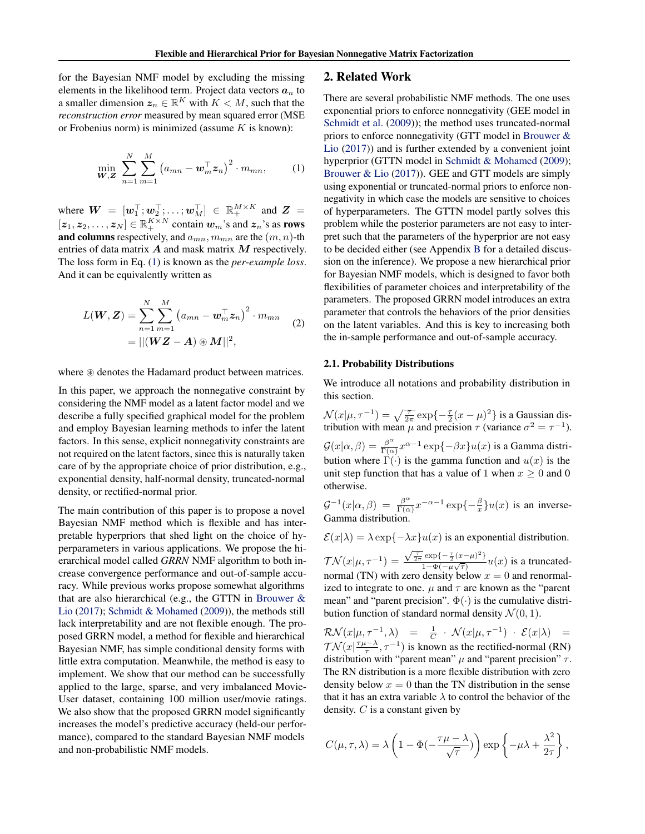<span id="page-1-0"></span>for the Bayesian NMF model by excluding the missing elements in the likelihood term. Project data vectors  $a_n$  to a smaller dimension  $z_n \in \mathbb{R}^K$  with  $K < M$ , such that the *reconstruction error* measured by mean squared error (MSE or Frobenius norm) is minimized (assume  $K$  is known):

$$
\min_{\mathbf{W},\mathbf{Z}} \sum_{n=1}^{N} \sum_{m=1}^{M} \left( a_{mn} - \mathbf{w}_{m}^{\top} \mathbf{z}_{n} \right)^{2} \cdot m_{mn}, \qquad (1)
$$

where  $\mathbf{W} = [\mathbf{w}_1^\top; \mathbf{w}_2^\top; \dots; \mathbf{w}_M^\top] \in \mathbb{R}_+^{M \times K}$  and  $\mathbf{Z} =$  $[z_1, z_2, \ldots, z_N] \in \mathbb{R}_+^{K \times N}$  contain  $w_m$ 's and  $z_n$ 's as **rows** and columns respectively, and  $a_{mn}$ ,  $m_{mn}$  are the  $(m, n)$ -th entries of data matrix  $A$  and mask matrix  $M$  respectively. The loss form in Eq. (1) is known as the *per-example loss*. And it can be equivalently written as

$$
L(\boldsymbol{W}, \boldsymbol{Z}) = \sum_{n=1}^{N} \sum_{m=1}^{M} (a_{mn} - \boldsymbol{w}_{m}^{\top} \boldsymbol{z}_{n})^{2} \cdot m_{mn}
$$
  
= ||(\boldsymbol{W} \boldsymbol{Z} - \boldsymbol{A}) \circledast \boldsymbol{M}||^{2}, (2)

where  $\circledast$  denotes the Hadamard product between matrices.

In this paper, we approach the nonnegative constraint by considering the NMF model as a latent factor model and we describe a fully specified graphical model for the problem and employ Bayesian learning methods to infer the latent factors. In this sense, explicit nonnegativity constraints are not required on the latent factors, since this is naturally taken care of by the appropriate choice of prior distribution, e.g., exponential density, half-normal density, truncated-normal density, or rectified-normal prior.

The main contribution of this paper is to propose a novel Bayesian NMF method which is flexible and has interpretable hyperpriors that shed light on the choice of hyperparameters in various applications. We propose the hierarchical model called *GRRN* NMF algorithm to both increase convergence performance and out-of-sample accuracy. While previous works propose somewhat algorithms that are also hierarchical (e.g., the GTTN in Brouwer  $\&$ [Lio](#page-7-0) [\(2017\)](#page-7-0); [Schmidt & Mohamed](#page-7-0) [\(2009\)](#page-7-0)), the methods still lack interpretability and are not flexible enough. The proposed GRRN model, a method for flexible and hierarchical Bayesian NMF, has simple conditional density forms with little extra computation. Meanwhile, the method is easy to implement. We show that our method can be successfully applied to the large, sparse, and very imbalanced Movie-User dataset, containing 100 million user/movie ratings. We also show that the proposed GRRN model significantly increases the model's predictive accuracy (held-our performance), compared to the standard Bayesian NMF models and non-probabilistic NMF models.

### 2. Related Work

There are several probabilistic NMF methods. The one uses exponential priors to enforce nonnegativity (GEE model in [Schmidt et al.](#page-7-0) [\(2009\)](#page-7-0)); the method uses truncated-normal priors to enforce nonnegativity (GTT model in [Brouwer &](#page-7-0) [Lio](#page-7-0) [\(2017\)](#page-7-0)) and is further extended by a convenient joint hyperprior (GTTN model in [Schmidt & Mohamed](#page-7-0) [\(2009\)](#page-7-0); [Brouwer & Lio](#page-7-0) [\(2017\)](#page-7-0)). GEE and GTT models are simply using exponential or truncated-normal priors to enforce nonnegativity in which case the models are sensitive to choices of hyperparameters. The GTTN model partly solves this problem while the posterior parameters are not easy to interpret such that the parameters of the hyperprior are not easy to be decided either (see Appendix [B](#page-9-0) for a detailed discussion on the inference). We propose a new hierarchical prior for Bayesian NMF models, which is designed to favor both flexibilities of parameter choices and interpretability of the parameters. The proposed GRRN model introduces an extra parameter that controls the behaviors of the prior densities on the latent variables. And this is key to increasing both the in-sample performance and out-of-sample accuracy.

### 2.1. Probability Distributions

We introduce all notations and probability distribution in this section.

 $\mathcal{N}(x|\mu, \tau^{-1}) = \sqrt{\frac{\tau}{2\pi}} \exp\{-\frac{\tau}{2}(x-\mu)^2\}$  is a Gaussian distribution with mean  $\mu$  and precision  $\tau$  (variance  $\sigma^2 = \tau^{-1}$ ).  $\mathcal{G}(x|\alpha,\beta) = \frac{\beta^{\alpha}}{\Gamma(\alpha)}$  $\frac{\beta^{\alpha}}{\Gamma(\alpha)} x^{\alpha-1} \exp\{-\beta x\} u(x)$  is a Gamma distribution where  $\Gamma(\cdot)$  is the gamma function and  $u(x)$  is the unit step function that has a value of 1 when  $x \ge 0$  and 0 otherwise.

$$
\mathcal{G}^{-1}(x|\alpha,\beta) = \frac{\beta^{\alpha}}{\Gamma(\alpha)} x^{-\alpha-1} \exp\{-\frac{\beta}{x}\} u(x)
$$
 is an inverse-Gamma distribution.

 $\mathcal{E}(x|\lambda) = \lambda \exp\{-\lambda x\}u(x)$  is an exponential distribution.  $\mathcal{TN}(x|\mu,\tau^{-1})=$  $\sqrt{\frac{\tau}{2\pi}} \exp\{-\frac{\tau}{2}(x-\mu)^2\}$  $\frac{\exp(-\frac{2}{2}(x-\mu)^{-1})}{1-\Phi(-\mu\sqrt{\tau})}u(x)$  is a truncatednormal (TN) with zero density below  $x = 0$  and renormalized to integrate to one.  $\mu$  and  $\tau$  are known as the "parent" mean" and "parent precision".  $\Phi(\cdot)$  is the cumulative distribution function of standard normal density  $\mathcal{N}(0, 1)$ .

 $\mathcal{RN}(x|\mu,\tau^{-1},\lambda) = \frac{1}{C} \cdot \mathcal{N}(x|\mu,\tau^{-1}) \cdot \mathcal{E}(x|\lambda) =$  $\mathcal{TN}(x|\frac{\tau\mu-\lambda}{\tau},\tau^{-1})$  is known as the rectified-normal (RN) distribution with "parent mean"  $\mu$  and "parent precision"  $\tau$ . The RN distribution is a more flexible distribution with zero density below  $x = 0$  than the TN distribution in the sense that it has an extra variable  $\lambda$  to control the behavior of the density.  $C$  is a constant given by

$$
C(\mu, \tau, \lambda) = \lambda \left( 1 - \Phi(-\frac{\tau \mu - \lambda}{\sqrt{\tau}}) \right) \exp \left\{-\mu \lambda + \frac{\lambda^2}{2\tau} \right\},\,
$$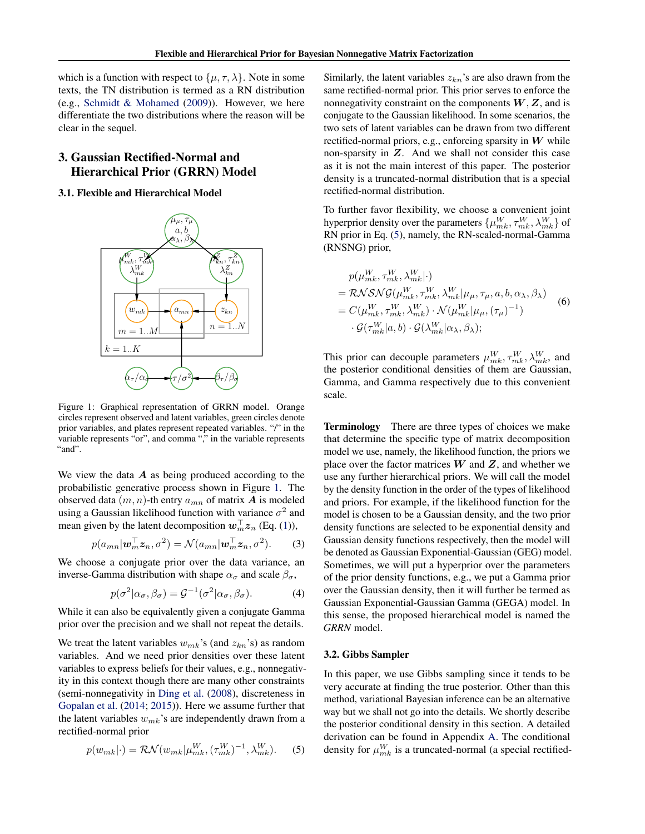<span id="page-2-0"></span>which is a function with respect to  $\{\mu, \tau, \lambda\}$ . Note in some texts, the TN distribution is termed as a RN distribution (e.g., [Schmidt & Mohamed](#page-7-0) [\(2009\)](#page-7-0)). However, we here differentiate the two distributions where the reason will be clear in the sequel.

## 3. Gaussian Rectified-Normal and Hierarchical Prior (GRRN) Model

### 3.1. Flexible and Hierarchical Model



Figure 1: Graphical representation of GRRN model. Orange circles represent observed and latent variables, green circles denote prior variables, and plates represent repeated variables. "/" in the variable represents "or", and comma "," in the variable represents "and".

We view the data  $A$  as being produced according to the probabilistic generative process shown in Figure 1. The observed data  $(m, n)$ -th entry  $a_{mn}$  of matrix **A** is modeled using a Gaussian likelihood function with variance  $\sigma^2$  and mean given by the latent decomposition  $w_m^{\top} z_n$  (Eq. [\(1\)](#page-1-0)),

$$
p(a_{mn}|\mathbf{w}_m^{\top}\mathbf{z}_n, \sigma^2) = \mathcal{N}(a_{mn}|\mathbf{w}_m^{\top}\mathbf{z}_n, \sigma^2).
$$
 (3)

We choose a conjugate prior over the data variance, an inverse-Gamma distribution with shape  $\alpha_{\sigma}$  and scale  $\beta_{\sigma}$ ,

$$
p(\sigma^2|\alpha_{\sigma}, \beta_{\sigma}) = \mathcal{G}^{-1}(\sigma^2|\alpha_{\sigma}, \beta_{\sigma}). \tag{4}
$$

While it can also be equivalently given a conjugate Gamma prior over the precision and we shall not repeat the details.

We treat the latent variables  $w_{mk}$ 's (and  $z_{kn}$ 's) as random variables. And we need prior densities over these latent variables to express beliefs for their values, e.g., nonnegativity in this context though there are many other constraints (semi-nonnegativity in [Ding et al.](#page-7-0) [\(2008\)](#page-7-0), discreteness in [Gopalan et al.](#page-7-0) [\(2014;](#page-7-0) [2015\)](#page-7-0)). Here we assume further that the latent variables  $w_{mk}$ 's are independently drawn from a rectified-normal prior

$$
p(w_{mk}|\cdot) = \mathcal{RN}(w_{mk}|\mu_{mk}^W, (\tau_{mk}^W)^{-1}, \lambda_{mk}^W). \tag{5}
$$

Similarly, the latent variables  $z_{kn}$ 's are also drawn from the same rectified-normal prior. This prior serves to enforce the nonnegativity constraint on the components  $W, Z$ , and is conjugate to the Gaussian likelihood. In some scenarios, the two sets of latent variables can be drawn from two different rectified-normal priors, e.g., enforcing sparsity in  $W$  while non-sparsity in  $Z$ . And we shall not consider this case as it is not the main interest of this paper. The posterior density is a truncated-normal distribution that is a special rectified-normal distribution.

To further favor flexibility, we choose a convenient joint hyperprior density over the parameters  $\{\mu_{mk}^W, \tau_{mk}^W, \lambda_{mk}^W\}$  of RN prior in Eq. (5), namely, the RN-scaled-normal-Gamma (RNSNG) prior,

$$
p(\mu_{mk}^{W}, \tau_{mk}^{W}, \lambda_{mk}^{W}| \cdot)
$$
  
=  $\mathcal{R}\mathcal{N}\mathcal{S}\mathcal{N}\mathcal{G}(\mu_{mk}^{W}, \tau_{mk}^{W}, \lambda_{mk}^{W}|\mu_{\mu}, \tau_{\mu}, a, b, \alpha_{\lambda}, \beta_{\lambda})$   
=  $C(\mu_{mk}^{W}, \tau_{mk}^{W}, \lambda_{mk}^{W}) \cdot \mathcal{N}(\mu_{mk}^{W}|\mu_{\mu}, (\tau_{\mu})^{-1})$   
 $\cdot \mathcal{G}(\tau_{mk}^{W}|a, b) \cdot \mathcal{G}(\lambda_{mk}^{W}|\alpha_{\lambda}, \beta_{\lambda});$  (6)

This prior can decouple parameters  $\mu_{mk}^W, \tau_{mk}^W, \lambda_{mk}^W$ , and the posterior conditional densities of them are Gaussian, Gamma, and Gamma respectively due to this convenient scale.

Terminology There are three types of choices we make that determine the specific type of matrix decomposition model we use, namely, the likelihood function, the priors we place over the factor matrices  $W$  and  $Z$ , and whether we use any further hierarchical priors. We will call the model by the density function in the order of the types of likelihood and priors. For example, if the likelihood function for the model is chosen to be a Gaussian density, and the two prior density functions are selected to be exponential density and Gaussian density functions respectively, then the model will be denoted as Gaussian Exponential-Gaussian (GEG) model. Sometimes, we will put a hyperprior over the parameters of the prior density functions, e.g., we put a Gamma prior over the Gaussian density, then it will further be termed as Gaussian Exponential-Gaussian Gamma (GEGA) model. In this sense, the proposed hierarchical model is named the *GRRN* model.

### 3.2. Gibbs Sampler

In this paper, we use Gibbs sampling since it tends to be very accurate at finding the true posterior. Other than this method, variational Bayesian inference can be an alternative way but we shall not go into the details. We shortly describe the posterior conditional density in this section. A detailed derivation can be found in Appendix [A.](#page-8-0) The conditional density for  $\mu_{mk}^W$  is a truncated-normal (a special rectified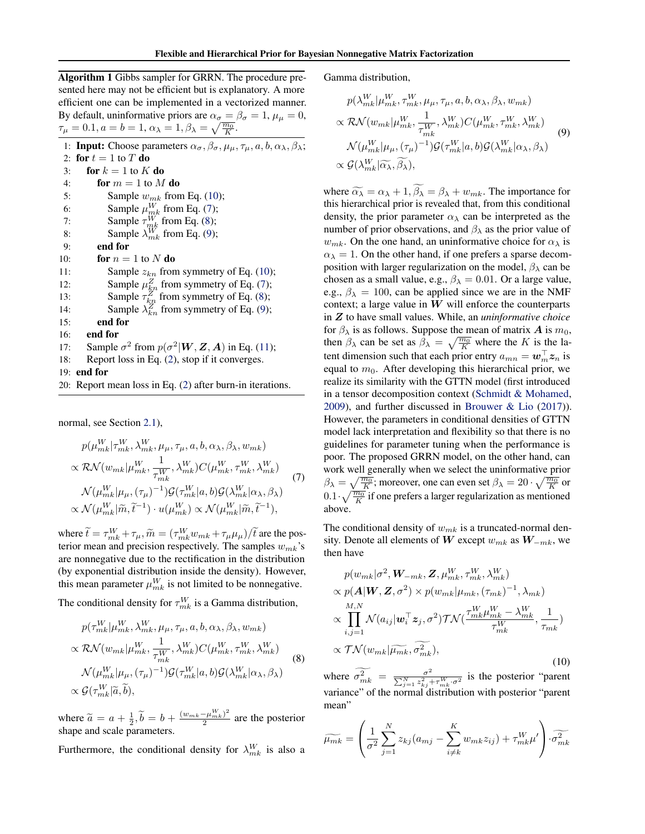<span id="page-3-0"></span>Algorithm 1 Gibbs sampler for GRRN. The procedure presented here may not be efficient but is explanatory. A more efficient one can be implemented in a vectorized manner. By default, uninformative priors are  $\alpha_{\sigma} = \beta_{\sigma} = 1$ ,  $\mu_{\mu} = 0$ ,  $\tau_{\mu} = 0.1, a = b = 1, \alpha_{\lambda} = 1, \beta_{\lambda} = \sqrt{\frac{m_0}{K}}.$ 1: **Input:** Choose parameters  $\alpha_{\sigma}$ ,  $\beta_{\sigma}$ ,  $\mu_{\mu}$ ,  $\tau_{\mu}$ ,  $a$ ,  $b$ ,  $\alpha_{\lambda}$ ,  $\beta_{\lambda}$ ; 2: for  $t = 1$  to T do 3: for  $k = 1$  to  $K$  do 4: for  $m = 1$  to  $M$  do 5: Sample  $w_{mk}$  from Eq. (10); 6: Sample  $\mu_{mk}^W$  from Eq. (7); 7: Sample  $\tau_{mk}^W$  from Eq. (8); 8: Sample  $\lambda_{mk}^W$  from Eq. (9); 9: end for 10: **for**  $n = 1$  to N **do** 11: Sample  $z_{kn}$  from symmetry of Eq. (10);<br>12: Sample  $\mu_{kn}^Z$  from symmetry of Eq. (7); 12: Sample  $\mu_{kn}^Z$  from symmetry of Eq. (7); 13: Sample  $\tau_{k,n}^{\overline{Z}}$  from symmetry of Eq. (8); 14: Sample  $\lambda_{kn}^Z$  from symmetry of Eq. (9); 15: end for 16: end for 17: Sample  $\sigma^2$  from  $p(\sigma^2 | W, Z, A)$  in Eq. [\(11\)](#page-4-0); 18: Report loss in Eq. [\(2\)](#page-1-0), stop if it converges. 19: end for

20: Report mean loss in Eq. [\(2\)](#page-1-0) after burn-in iterations.

normal, see Section [2.1\)](#page-1-0),

$$
p(\mu_{mk}^{W}|\tau_{mk}^{W}, \lambda_{mk}^{W}, \mu_{\mu}, \tau_{\mu}, a, b, \alpha_{\lambda}, \beta_{\lambda}, w_{mk})
$$
  

$$
\propto \mathcal{RN}(w_{mk}|\mu_{mk}^{W}, \frac{1}{\tau_{mk}^{W}}, \lambda_{mk}^{W})C(\mu_{mk}^{W}, \tau_{mk}^{W}, \lambda_{mk}^{W})
$$
  

$$
\mathcal{N}(\mu_{mk}^{W}|\mu_{\mu}, (\tau_{\mu})^{-1})\mathcal{G}(\tau_{mk}^{W}|a, b)\mathcal{G}(\lambda_{mk}^{W}|\alpha_{\lambda}, \beta_{\lambda})
$$
  

$$
\propto \mathcal{N}(\mu_{mk}^{W}|\widetilde{m}, \widetilde{t}^{-1}) \cdot u(\mu_{mk}^{W}) \propto \mathcal{N}(\mu_{mk}^{W}|\widetilde{m}, \widetilde{t}^{-1}),
$$
 (7)

where  $\tilde{t} = \tau_{mk}^W + \tau_{\mu}, \tilde{m} = (\tau_{mk}^W w_{mk} + \tau_{\mu} \mu_{\mu}) / \tilde{t}$  are the pos-<br>terior mean and precision respectively. The samples  $w_{\mu}$ , 's terior mean and precision respectively. The samples  $w_{mk}$ 's are nonnegative due to the rectification in the distribution (by exponential distribution inside the density). However, this mean parameter  $\mu_{mk}^W$  is not limited to be nonnegative.

The conditional density for  $\tau_{mk}^W$  is a Gamma distribution,

$$
p(\tau_{mk}^{W} | \mu_{mk}^{W}, \lambda_{mk}^{W}, \mu_{\mu}, \tau_{\mu}, a, b, \alpha_{\lambda}, \beta_{\lambda}, w_{mk})
$$
  

$$
\propto \mathcal{RN}(w_{mk} | \mu_{mk}^{W}, \frac{1}{\tau_{mk}^{W}}, \lambda_{mk}^{W}) C(\mu_{mk}^{W}, \tau_{mk}^{W}, \lambda_{mk}^{W})
$$
  

$$
\mathcal{N}(\mu_{mk}^{W} | \mu_{\mu}, (\tau_{\mu})^{-1}) \mathcal{G}(\tau_{mk}^{W} | a, b) \mathcal{G}(\lambda_{mk}^{W} | \alpha_{\lambda}, \beta_{\lambda})
$$
  

$$
\propto \mathcal{G}(\tau_{mk}^{W} | \tilde{a}, \tilde{b}),
$$
 (8)

where  $\widetilde{a} = a + \frac{1}{2}, \widetilde{b} = b + \frac{(w_{mk} - \mu_{mk}^W)^2}{2}$  $\frac{2\mu_{mk}}{2}$  are the posterior shape and scale parameters.

Furthermore, the conditional density for  $\lambda_{mk}^W$  is also a

Gamma distribution,

$$
p(\lambda_{mk}^{W} | \mu_{mk}^{W}, \tau_{mk}^{W}, \mu_{\mu}, \tau_{\mu}, a, b, \alpha_{\lambda}, \beta_{\lambda}, w_{mk})
$$
  

$$
\propto \mathcal{RN}(w_{mk} | \mu_{mk}^{W}, \frac{1}{\tau_{mk}^{W}}, \lambda_{mk}^{W}) C(\mu_{mk}^{W}, \tau_{mk}^{W}, \lambda_{mk}^{W})
$$
  

$$
\mathcal{N}(\mu_{mk}^{W} | \mu_{\mu}, (\tau_{\mu})^{-1}) \mathcal{G}(\tau_{mk}^{W} | a, b) \mathcal{G}(\lambda_{mk}^{W} | \alpha_{\lambda}, \beta_{\lambda})
$$
  

$$
\propto \mathcal{G}(\lambda_{mk}^{W} | \widetilde{\alpha_{\lambda}}, \widetilde{\beta_{\lambda}}),
$$
 (9)

where  $\widetilde{\alpha_{\lambda}} = \alpha_{\lambda} + 1$ ,  $\widetilde{\beta_{\lambda}} = \beta_{\lambda} + w_{mk}$ . The importance for this hierarchical prior is revealed that, from this conditional density, the prior parameter  $\alpha_{\lambda}$  can be interpreted as the number of prior observations, and  $\beta_{\lambda}$  as the prior value of  $w_{mk}$ . On the one hand, an uninformative choice for  $\alpha_{\lambda}$  is  $\alpha_{\lambda} = 1$ . On the other hand, if one prefers a sparse decomposition with larger regularization on the model,  $\beta_{\lambda}$  can be chosen as a small value, e.g.,  $\beta_{\lambda} = 0.01$ . Or a large value, e.g.,  $\beta_{\lambda} = 100$ , can be applied since we are in the NMF context; a large value in  $W$  will enforce the counterparts in Z to have small values. While, an *uninformative choice* for  $\beta_{\lambda}$  is as follows. Suppose the mean of matrix A is  $m_0$ , then  $\beta_{\lambda}$  can be set as  $\beta_{\lambda} = \sqrt{\frac{m_0}{K}}$  where the K is the latent dimension such that each prior entry  $a_{mn} = \boldsymbol{w}_m^\top \boldsymbol{z}_n$  is equal to  $m_0$ . After developing this hierarchical prior, we realize its similarity with the GTTN model (first introduced in a tensor decomposition context [\(Schmidt & Mohamed,](#page-7-0) [2009\)](#page-7-0), and further discussed in [Brouwer & Lio](#page-7-0) [\(2017\)](#page-7-0)). However, the parameters in conditional densities of GTTN model lack interpretation and flexibility so that there is no guidelines for parameter tuning when the performance is poor. The proposed GRRN model, on the other hand, can work well generally when we select the uninformative prior  $\beta_{\lambda} = \sqrt{\frac{m_0}{K}}$ ; moreover, one can even set  $\beta_{\lambda} = 20 \cdot \sqrt{\frac{m_0}{K}}$  or  $0.1 \cdot \sqrt{\frac{m_0}{K}}$  if one prefers a larger regularization as mentioned above.

The conditional density of  $w_{mk}$  is a truncated-normal density. Denote all elements of W except  $w_{mk}$  as  $W_{-mk}$ , we then have

$$
p(w_{mk}|\sigma^2, \mathbf{W}_{-mk}, \mathbf{Z}, \mu_{mk}^W, \tau_{mk}^W, \lambda_{mk}^W)
$$
  
\n
$$
\propto p(\mathbf{A}|\mathbf{W}, \mathbf{Z}, \sigma^2) \times p(w_{mk}|\mu_{mk}, (\tau_{mk})^{-1}, \lambda_{mk})
$$
  
\n
$$
\propto \prod_{i,j=1}^{M,N} \mathcal{N}(a_{ij}|\mathbf{w}_i^{\top}\mathbf{z}_j, \sigma^2) \mathcal{TN}(\frac{\tau_{mk}^W \mu_{mk}^W - \lambda_{mk}^W}{\tau_{mk}^W}, \frac{1}{\tau_{mk}})
$$
  
\n
$$
\propto \mathcal{TN}(w_{mk}|\widetilde{\mu_{mk}}, \widetilde{\sigma}_{mk}^2),
$$
\n(10)

where  $\widetilde{\sigma}_{mk}^2 = \frac{\sigma^2}{\sum_{i=1}^N z_{ki}^2}$  $\frac{\sigma^2}{\sum_{j=1}^N z_{kj}^2 + \tau_{mk}^W \cdot \sigma^2}$  is the posterior "parent variance" of the normal distribution with posterior "parent mean"

$$
\widetilde{\mu_{mk}} = \left(\frac{1}{\sigma^2} \sum_{j=1}^N z_{kj}(a_{mj} - \sum_{i \neq k}^K w_{mk} z_{ij}) + \tau_{mk}^W \mu'\right) \cdot \widetilde{\sigma_{mk}^2}
$$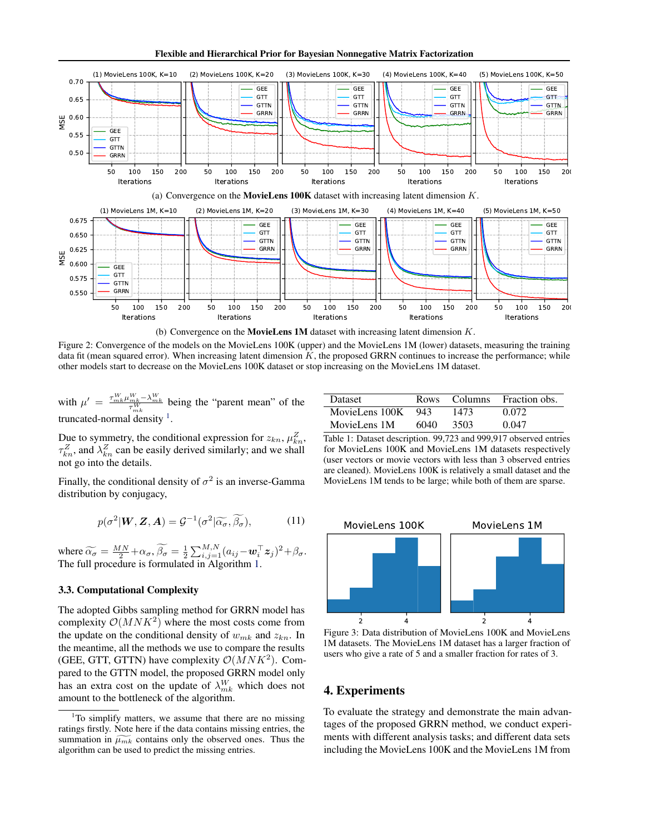Flexible and Hierarchical Prior for Bayesian Nonnegative Matrix Factorization

<span id="page-4-0"></span>

Figure 2: Convergence of the models on the MovieLens 100K (upper) and the MovieLens 1M (lower) datasets, measuring the training data fit (mean squared error). When increasing latent dimension  $K$ , the proposed GRRN continues to increase the performance; while other models start to decrease on the MovieLens 100K dataset or stop increasing on the MovieLens 1M dataset.

with  $\mu' = \frac{\tau_{mk}^W \mu_{mk}^W - \lambda_{mk}^W}{\tau_{mk}^W}$  being the "parent mean" of the truncated-normal density  $\frac{1}{1}$ .

Due to symmetry, the conditional expression for  $z_{kn}$ ,  $\mu_{kn}^Z$ ,  $\tau_{kn}^Z$ , and  $\lambda_{kn}^Z$  can be easily derived similarly; and we shall not go into the details.

Finally, the conditional density of  $\sigma^2$  is an inverse-Gamma distribution by conjugacy,

$$
p(\sigma^2 | \mathbf{W}, \mathbf{Z}, \mathbf{A}) = \mathcal{G}^{-1}(\sigma^2 | \widetilde{\alpha}_{\sigma}, \widetilde{\beta}_{\sigma}), \tag{11}
$$

where  $\widetilde{\alpha_{\sigma}} = \frac{MN}{2} + \alpha_{\sigma}, \widetilde{\beta_{\sigma}} = \frac{1}{2} \sum_{i,j=1}^{M,N} (a_{ij} - \mathbf{w}_{i}^{\top} \mathbf{z}_{j})^{2} + \beta_{\sigma}.$ <br>The full procedure is formulated in Algorithm 1 The full procedure is formulated in Algorithm [1.](#page-3-0)

## 3.3. Computational Complexity

The adopted Gibbs sampling method for GRRN model has complexity  $\mathcal{O}(MNK^2)$  where the most costs come from the update on the conditional density of  $w_{mk}$  and  $z_{kn}$ . In the meantime, all the methods we use to compare the results (GEE, GTT, GTTN) have complexity  $\mathcal{O}(MNK^2)$ . Compared to the GTTN model, the proposed GRRN model only has an extra cost on the update of  $\lambda_{mk}^W$  which does not amount to the bottleneck of the algorithm.

| <b>Dataset</b> |       |      | Rows Columns Fraction obs. |
|----------------|-------|------|----------------------------|
| MovieLens 100K | - 943 | 1473 | 0.072                      |
| MovieLens 1M   | 6040  | 3503 | 0.047                      |

Table 1: Dataset description. 99,723 and 999,917 observed entries for MovieLens 100K and MovieLens 1M datasets respectively (user vectors or movie vectors with less than 3 observed entries are cleaned). MovieLens 100K is relatively a small dataset and the MovieLens 1M tends to be large; while both of them are sparse.



Figure 3: Data distribution of MovieLens 100K and MovieLens 1M datasets. The MovieLens 1M dataset has a larger fraction of users who give a rate of 5 and a smaller fraction for rates of 3.

## 4. Experiments

To evaluate the strategy and demonstrate the main advantages of the proposed GRRN method, we conduct experiments with different analysis tasks; and different data sets including the MovieLens 100K and the MovieLens 1M from

<sup>&</sup>lt;sup>1</sup>To simplify matters, we assume that there are no missing ratings firstly. Note here if the data contains missing entries, the summation in  $\widetilde{\mu_{mk}}$  contains only the observed ones. Thus the algorithm can be used to predict the missing entries.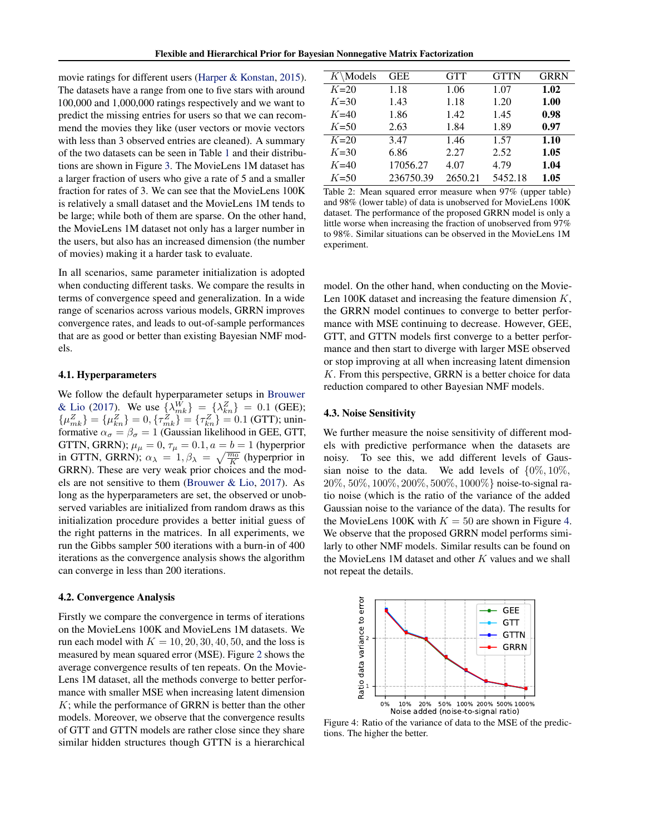<span id="page-5-0"></span>movie ratings for different users [\(Harper & Konstan,](#page-7-0) [2015\)](#page-7-0). The datasets have a range from one to five stars with around 100,000 and 1,000,000 ratings respectively and we want to predict the missing entries for users so that we can recommend the movies they like (user vectors or movie vectors with less than 3 observed entries are cleaned). A summary of the two datasets can be seen in Table [1](#page-4-0) and their distributions are shown in Figure [3.](#page-4-0) The MovieLens 1M dataset has a larger fraction of users who give a rate of 5 and a smaller fraction for rates of 3. We can see that the MovieLens 100K is relatively a small dataset and the MovieLens 1M tends to be large; while both of them are sparse. On the other hand, the MovieLens 1M dataset not only has a larger number in the users, but also has an increased dimension (the number of movies) making it a harder task to evaluate.

In all scenarios, same parameter initialization is adopted when conducting different tasks. We compare the results in terms of convergence speed and generalization. In a wide range of scenarios across various models, GRRN improves convergence rates, and leads to out-of-sample performances that are as good or better than existing Bayesian NMF models.

### 4.1. Hyperparameters

We follow the default hyperparameter setups in [Brouwer](#page-7-0) [& Lio](#page-7-0) [\(2017\)](#page-7-0). We use  $\{\lambda_{mk}^W\} = \{\lambda_{kn}^Z\} = 0.1$  (GEE);  $\{\mu_{mk}^Z\} = \{\mu_{kn}^Z\} = 0, \{\tau_{mk}^Z\} = \{\tau_{kn}^Z\} = 0.1$  (GTT); uninformative  $\alpha_{\sigma} = \beta_{\sigma} = 1$  (Gaussian likelihood in GEE, GTT, GTTN, GRRN);  $\mu_{\mu} = 0$ ,  $\tau_{\mu} = 0.1$ ,  $a = b = 1$  (hyperprior in GTTN, GRRN);  $\alpha_{\lambda} = 1, \beta_{\lambda} = \sqrt{\frac{m_0}{K}}$  (hyperprior in GRRN). These are very weak prior choices and the models are not sensitive to them [\(Brouwer & Lio,](#page-7-0) [2017\)](#page-7-0). As long as the hyperparameters are set, the observed or unobserved variables are initialized from random draws as this initialization procedure provides a better initial guess of the right patterns in the matrices. In all experiments, we run the Gibbs sampler 500 iterations with a burn-in of 400 iterations as the convergence analysis shows the algorithm can converge in less than 200 iterations.

#### 4.2. Convergence Analysis

Firstly we compare the convergence in terms of iterations on the MovieLens 100K and MovieLens 1M datasets. We run each model with  $K = 10, 20, 30, 40, 50$ , and the loss is measured by mean squared error (MSE). Figure [2](#page-4-0) shows the average convergence results of ten repeats. On the Movie-Lens 1M dataset, all the methods converge to better performance with smaller MSE when increasing latent dimension  $K$ ; while the performance of GRRN is better than the other models. Moreover, we observe that the convergence results of GTT and GTTN models are rather close since they share similar hidden structures though GTTN is a hierarchical

| \Models\<br>Κ | <b>GEE</b> | <b>GTT</b> | <b>GTTN</b> | <b>GRRN</b> |
|---------------|------------|------------|-------------|-------------|
| $K=20$        | 1.18       | 1.06       | 1.07        | 1.02        |
| $K=30$        | 1.43       | 1.18       | 1.20        | 1.00        |
| $K=40$        | 1.86       | 1.42       | 1.45        | 0.98        |
| $K = 50$      | 2.63       | 1.84       | 1.89        | 0.97        |
| $K=20$        | 3.47       | 1.46       | 1.57        | 1.10        |
| $K=30$        | 6.86       | 2.27       | 2.52        | 1.05        |
| $K=40$        | 17056.27   | 4.07       | 4.79        | 1.04        |
| $K = 50$      | 236750.39  | 2650.21    | 5452.18     | 1.05        |
|               |            |            |             |             |

Table 2: Mean squared error measure when 97% (upper table) and 98% (lower table) of data is unobserved for MovieLens 100K dataset. The performance of the proposed GRRN model is only a little worse when increasing the fraction of unobserved from 97% to 98%. Similar situations can be observed in the MovieLens 1M experiment.

model. On the other hand, when conducting on the Movie-Len 100K dataset and increasing the feature dimension  $K$ , the GRRN model continues to converge to better performance with MSE continuing to decrease. However, GEE, GTT, and GTTN models first converge to a better performance and then start to diverge with larger MSE observed or stop improving at all when increasing latent dimension K. From this perspective, GRRN is a better choice for data reduction compared to other Bayesian NMF models.

### 4.3. Noise Sensitivity

We further measure the noise sensitivity of different models with predictive performance when the datasets are noisy. To see this, we add different levels of Gaussian noise to the data. We add levels of  $\{0\%, 10\%, \ldots\}$ 20%, 50%, 100%, 200%, 500%, 1000%} noise-to-signal ratio noise (which is the ratio of the variance of the added Gaussian noise to the variance of the data). The results for the MovieLens 100K with  $K = 50$  are shown in Figure 4. We observe that the proposed GRRN model performs similarly to other NMF models. Similar results can be found on the MovieLens  $1M$  dataset and other  $K$  values and we shall not repeat the details.



Figure 4: Ratio of the variance of data to the MSE of the predictions. The higher the better.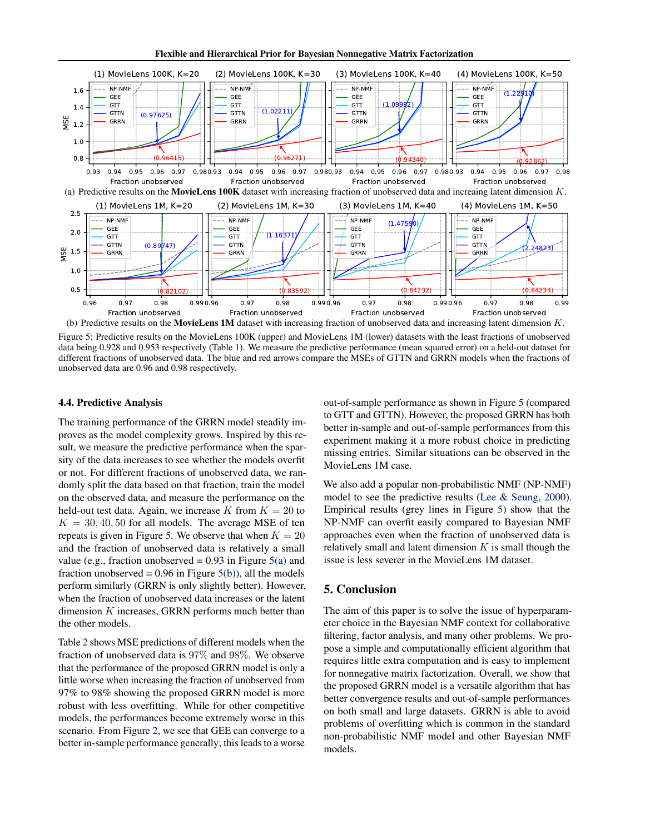Flexible and Hierarchical Prior for Bayesian Nonnegative Matrix Factorization



Figure 5: Predictive results on the MovieLens 100K (upper) and MovieLens 1M (lower) datasets with the least fractions of unobserved data being 0.928 and 0.953 respectively (Table [1\)](#page-4-0). We measure the predictive performance (mean squared error) on a held-out dataset for different fractions of unobserved data. The blue and red arrows compare the MSEs of GTTN and GRRN models when the fractions of unobserved data are 0.96 and 0.98 respectively.

#### 4.4. Predictive Analysis

The training performance of the GRRN model steadily improves as the model complexity grows. Inspired by this result, we measure the predictive performance when the sparsity of the data increases to see whether the models overfit or not. For different fractions of unobserved data, we randomly split the data based on that fraction, train the model on the observed data, and measure the performance on the held-out test data. Again, we increase K from  $K = 20$  to  $K = 30, 40, 50$  for all models. The average MSE of ten repeats is given in Figure 5. We observe that when  $K = 20$ and the fraction of unobserved data is relatively a small value (e.g., fraction unobserved  $= 0.93$  in Figure 5(a) and fraction unobserved =  $0.96$  in Figure  $5(b)$ ), all the models perform similarly (GRRN is only slightly better). However, when the fraction of unobserved data increases or the latent dimension K increases, GRRN performs much better than the other models.

Table [2](#page-5-0) shows MSE predictions of different models when the fraction of unobserved data is 97% and 98%. We observe that the performance of the proposed GRRN model is only a little worse when increasing the fraction of unobserved from 97% to 98% showing the proposed GRRN model is more robust with less overfitting. While for other competitive models, the performances become extremely worse in this scenario. From Figure [2,](#page-4-0) we see that GEE can converge to a better in-sample performance generally; this leads to a worse

out-of-sample performance as shown in Figure 5 (compared to GTT and GTTN). However, the proposed GRRN has both better in-sample and out-of-sample performances from this experiment making it a more robust choice in predicting missing entries. Similar situations can be observed in the MovieLens 1M case.

We also add a popular non-probabilistic NMF (NP-NMF) model to see the predictive results [\(Lee & Seung,](#page-7-0) [2000\)](#page-7-0). Empirical results (grey lines in Figure 5) show that the NP-NMF can overfit easily compared to Bayesian NMF approaches even when the fraction of unobserved data is relatively small and latent dimension  $K$  is small though the issue is less severer in the MovieLens 1M dataset.

## 5. Conclusion

The aim of this paper is to solve the issue of hyperparameter choice in the Bayesian NMF context for collaborative filtering, factor analysis, and many other problems. We propose a simple and computationally efficient algorithm that requires little extra computation and is easy to implement for nonnegative matrix factorization. Overall, we show that the proposed GRRN model is a versatile algorithm that has better convergence results and out-of-sample performances on both small and large datasets. GRRN is able to avoid problems of overfitting which is common in the standard non-probabilistic NMF model and other Bayesian NMF models.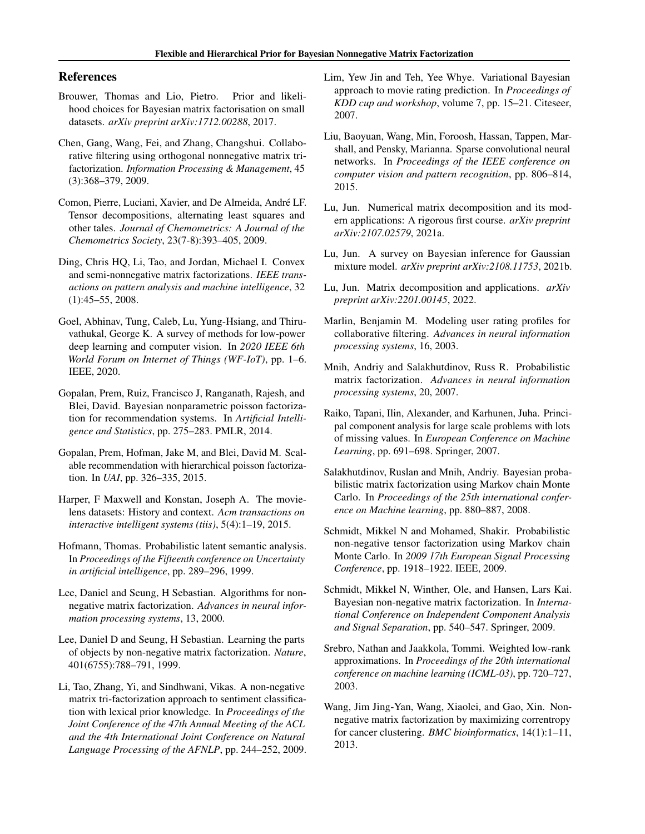## <span id="page-7-0"></span>References

- Brouwer, Thomas and Lio, Pietro. Prior and likelihood choices for Bayesian matrix factorisation on small datasets. *arXiv preprint arXiv:1712.00288*, 2017.
- Chen, Gang, Wang, Fei, and Zhang, Changshui. Collaborative filtering using orthogonal nonnegative matrix trifactorization. *Information Processing & Management*, 45 (3):368–379, 2009.
- Comon, Pierre, Luciani, Xavier, and De Almeida, Andre LF. ´ Tensor decompositions, alternating least squares and other tales. *Journal of Chemometrics: A Journal of the Chemometrics Society*, 23(7-8):393–405, 2009.
- Ding, Chris HQ, Li, Tao, and Jordan, Michael I. Convex and semi-nonnegative matrix factorizations. *IEEE transactions on pattern analysis and machine intelligence*, 32 (1):45–55, 2008.
- Goel, Abhinav, Tung, Caleb, Lu, Yung-Hsiang, and Thiruvathukal, George K. A survey of methods for low-power deep learning and computer vision. In *2020 IEEE 6th World Forum on Internet of Things (WF-IoT)*, pp. 1–6. IEEE, 2020.
- Gopalan, Prem, Ruiz, Francisco J, Ranganath, Rajesh, and Blei, David. Bayesian nonparametric poisson factorization for recommendation systems. In *Artificial Intelligence and Statistics*, pp. 275–283. PMLR, 2014.
- Gopalan, Prem, Hofman, Jake M, and Blei, David M. Scalable recommendation with hierarchical poisson factorization. In *UAI*, pp. 326–335, 2015.
- Harper, F Maxwell and Konstan, Joseph A. The movielens datasets: History and context. *Acm transactions on interactive intelligent systems (tiis)*, 5(4):1–19, 2015.
- Hofmann, Thomas. Probabilistic latent semantic analysis. In *Proceedings of the Fifteenth conference on Uncertainty in artificial intelligence*, pp. 289–296, 1999.
- Lee, Daniel and Seung, H Sebastian. Algorithms for nonnegative matrix factorization. *Advances in neural information processing systems*, 13, 2000.
- Lee, Daniel D and Seung, H Sebastian. Learning the parts of objects by non-negative matrix factorization. *Nature*, 401(6755):788–791, 1999.
- Li, Tao, Zhang, Yi, and Sindhwani, Vikas. A non-negative matrix tri-factorization approach to sentiment classification with lexical prior knowledge. In *Proceedings of the Joint Conference of the 47th Annual Meeting of the ACL and the 4th International Joint Conference on Natural Language Processing of the AFNLP*, pp. 244–252, 2009.
- Lim, Yew Jin and Teh, Yee Whye. Variational Bayesian approach to movie rating prediction. In *Proceedings of KDD cup and workshop*, volume 7, pp. 15–21. Citeseer, 2007.
- Liu, Baoyuan, Wang, Min, Foroosh, Hassan, Tappen, Marshall, and Pensky, Marianna. Sparse convolutional neural networks. In *Proceedings of the IEEE conference on computer vision and pattern recognition*, pp. 806–814, 2015.
- Lu, Jun. Numerical matrix decomposition and its modern applications: A rigorous first course. *arXiv preprint arXiv:2107.02579*, 2021a.
- Lu, Jun. A survey on Bayesian inference for Gaussian mixture model. *arXiv preprint arXiv:2108.11753*, 2021b.
- Lu, Jun. Matrix decomposition and applications. *arXiv preprint arXiv:2201.00145*, 2022.
- Marlin, Benjamin M. Modeling user rating profiles for collaborative filtering. *Advances in neural information processing systems*, 16, 2003.
- Mnih, Andriy and Salakhutdinov, Russ R. Probabilistic matrix factorization. *Advances in neural information processing systems*, 20, 2007.
- Raiko, Tapani, Ilin, Alexander, and Karhunen, Juha. Principal component analysis for large scale problems with lots of missing values. In *European Conference on Machine Learning*, pp. 691–698. Springer, 2007.
- Salakhutdinov, Ruslan and Mnih, Andriy. Bayesian probabilistic matrix factorization using Markov chain Monte Carlo. In *Proceedings of the 25th international conference on Machine learning*, pp. 880–887, 2008.
- Schmidt, Mikkel N and Mohamed, Shakir. Probabilistic non-negative tensor factorization using Markov chain Monte Carlo. In *2009 17th European Signal Processing Conference*, pp. 1918–1922. IEEE, 2009.
- Schmidt, Mikkel N, Winther, Ole, and Hansen, Lars Kai. Bayesian non-negative matrix factorization. In *International Conference on Independent Component Analysis and Signal Separation*, pp. 540–547. Springer, 2009.
- Srebro, Nathan and Jaakkola, Tommi. Weighted low-rank approximations. In *Proceedings of the 20th international conference on machine learning (ICML-03)*, pp. 720–727, 2003.
- Wang, Jim Jing-Yan, Wang, Xiaolei, and Gao, Xin. Nonnegative matrix factorization by maximizing correntropy for cancer clustering. *BMC bioinformatics*, 14(1):1–11, 2013.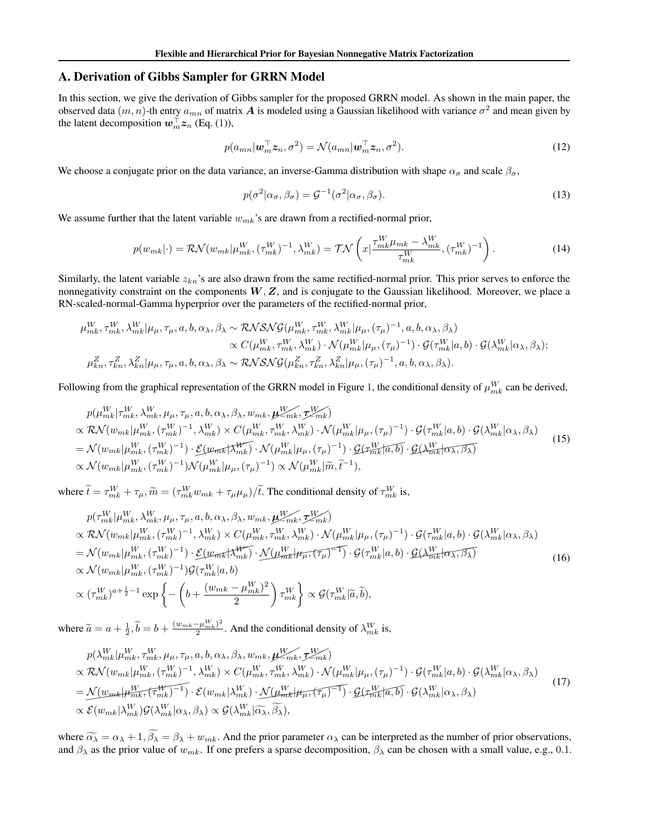## <span id="page-8-0"></span>A. Derivation of Gibbs Sampler for GRRN Model

In this section, we give the derivation of Gibbs sampler for the proposed GRRN model. As shown in the main paper, the observed data  $(m, n)$ -th entry  $a_{mn}$  of matrix  $A$  is modeled using a Gaussian likelihood with variance  $\sigma^2$  and mean given by the latent decomposition  $w_m^{\top} z_n$  (Eq. [\(1\)](#page-1-0)),

$$
p(a_{mn}|\mathbf{w}_m^{\top}\mathbf{z}_n, \sigma^2) = \mathcal{N}(a_{mn}|\mathbf{w}_m^{\top}\mathbf{z}_n, \sigma^2).
$$
 (12)

We choose a conjugate prior on the data variance, an inverse-Gamma distribution with shape  $\alpha_{\sigma}$  and scale  $\beta_{\sigma}$ ,

$$
p(\sigma^2|\alpha_{\sigma}, \beta_{\sigma}) = \mathcal{G}^{-1}(\sigma^2|\alpha_{\sigma}, \beta_{\sigma}).
$$
\n(13)

We assume further that the latent variable  $w_{mk}$ 's are drawn from a rectified-normal prior,

$$
p(w_{mk}|\cdot) = \mathcal{RN}(w_{mk}|\mu_{mk}^W, (\tau_{mk}^W)^{-1}, \lambda_{mk}^W) = \mathcal{TN}\left(x|\frac{\tau_{mk}^W\mu_{mk} - \lambda_{mk}^W}{\tau_{mk}^W}, (\tau_{mk}^W)^{-1}\right). \tag{14}
$$

Similarly, the latent variable  $z_{kn}$ 's are also drawn from the same rectified-normal prior. This prior serves to enforce the nonnegativity constraint on the components  $W, Z$ , and is conjugate to the Gaussian likelihood. Moreover, we place a RN-scaled-normal-Gamma hyperprior over the parameters of the rectified-normal prior,

$$
\mu_{mk}^W, \tau_{mk}^W, \lambda_{mk}^W | \mu_\mu, \tau_\mu, a, b, \alpha_\lambda, \beta_\lambda \sim \mathcal{RNSNG}(\mu_{mk}^W, \tau_{mk}^W, \lambda_{mk}^W | \mu_\mu, (\tau_\mu)^{-1}, a, b, \alpha_\lambda, \beta_\lambda) \propto C(\mu_{mk}^W, \tau_{mk}^W, \lambda_{mk}^W) \cdot \mathcal{N}(\mu_{mk}^W | \mu_\mu, (\tau_\mu)^{-1}) \cdot \mathcal{G}(\tau_{mk}^W | a, b) \cdot \mathcal{G}(\lambda_{mk}^W | \alpha_\lambda, \beta_\lambda); \n\mu_{kn}^Z, \tau_{kn}^Z, \lambda_{kn}^Z | \mu_\mu, \tau_\mu, a, b, \alpha_\lambda, \beta_\lambda \sim \mathcal{RNSNG}(\mu_{kn}^Z, \tau_{kn}^Z, \lambda_{kn}^Z | \mu_\mu, (\tau_\mu)^{-1}, a, b, \alpha_\lambda, \beta_\lambda).
$$

Following from the graphical representation of the GRRN model in Figure [1,](#page-2-0) the conditional density of  $\mu_{mk}^W$  can be derived,

$$
p(\mu_{mk}^{W}|\tau_{mk}^{W}, \lambda_{mk}^{W}, \mu_{\mu}, \tau_{\mu}, a, b, \alpha_{\lambda}, \beta_{\lambda}, w_{mk}, \mu_{\mu,m}^{W}|\tau_{mk}^{W}) \propto \mathcal{RN}(w_{mk}|\mu_{mk}^{W}, (\tau_{mk}^{W})^{-1}, \lambda_{mk}^{W}) \times C(\mu_{mk}^{W}, \tau_{mk}^{W}, \lambda_{mk}^{W}) \cdot \mathcal{N}(\mu_{mk}^{W}|\mu_{\mu}, (\tau_{\mu})^{-1}) \cdot \mathcal{G}(\tau_{mk}^{W}|a, b) \cdot \mathcal{G}(\lambda_{mk}^{W}|\alpha_{\lambda}, \beta_{\lambda}) = \mathcal{N}(w_{mk}|\mu_{mk}^{W}, (\tau_{mk}^{W})^{-1}) \cdot \mathcal{L}(w_{mk}|\tau_{mk}^{W}) \cdot \mathcal{N}(\mu_{mk}^{W}|\mu_{\mu}, (\tau_{\mu})^{-1}) \cdot \mathcal{G}(\tau_{mk}^{W}|\overline{a}, \overline{b}) \cdot \mathcal{G}(\lambda_{mk}^{W}|\overline{a}, \overline{\beta_{\lambda}}) \propto \mathcal{N}(w_{mk}|\mu_{mk}^{W}, (\tau_{mk}^{W})^{-1})\mathcal{N}(\mu_{mk}^{W}|\mu_{\mu}, (\tau_{\mu})^{-1}) \propto \mathcal{N}(\mu_{mk}^{W}|\widetilde{m}, \widetilde{t}^{-1}),
$$
\n(15)

where  $\tilde{t} = \tau_{mk}^W + \tau_{\mu}, \tilde{m} = (\tau_{mk}^W w_{mk} + \tau_{\mu} \mu_{\mu}) / \tilde{t}$ . The conditional density of  $\tau_{mk}^W$  is,

$$
p(\tau_{mk}^{W}|\mu_{mk}^{W}, \lambda_{mk}^{W}, \mu_{\mu}, \tau_{\mu}, a, b, \alpha_{\lambda}, \beta_{\lambda}, w_{mk}, \mu_{\text{max}}^{W}, \tau_{mk}^{W}) \propto \mathcal{RN}(w_{mk}|\mu_{mk}^{W}, (\tau_{mk}^{W})^{-1}, \lambda_{mk}^{W}) \times C(\mu_{mk}^{W}, \tau_{mk}^{W}, \lambda_{mk}^{W}) \cdot \mathcal{N}(\mu_{mk}^{W}|\mu_{\mu}, (\tau_{\mu})^{-1}) \cdot \mathcal{G}(\tau_{mk}^{W}|a, b) \cdot \mathcal{G}(\lambda_{mk}^{W}|\alpha_{\lambda}, \beta_{\lambda}) = \mathcal{N}(w_{mk}|\mu_{mk}^{W}, (\tau_{mk}^{W})^{-1}) \cdot \mathcal{E}(w_{mk}|\tau_{mk}^{W}) \cdot \mathcal{N}(\mu_{mk}^{W}|\mu_{\mu}, (\tau_{\mu})^{-1}) \cdot \mathcal{G}(\tau_{mk}^{W}|a, b) \cdot \mathcal{G}(\lambda_{mk}^{W}|\alpha_{\lambda}, \beta_{\lambda}) \propto \mathcal{N}(w_{mk}|\mu_{mk}^{W}, (\tau_{mk}^{W})^{-1})\mathcal{G}(\tau_{mk}^{W}|a, b) \propto (\tau_{mk}^{W})^{a+\frac{1}{2}-1} \exp\left\{-\left(b+\frac{(w_{mk}-\mu_{mk}^{W})^{2}}{2}\right)\tau_{mk}^{W}\right\} \propto \mathcal{G}(\tau_{mk}^{W}|\tilde{a}, \tilde{b}),
$$
\n(16)

where  $\widetilde{a} = a + \frac{1}{2}, \widetilde{b} = b + \frac{(w_{mk} - \mu_{mk}^W)^2}{2}$  $\frac{(-\mu_{mk}^W)^2}{2}$ . And the conditional density of  $\lambda_{mk}^W$  is,

$$
p(\lambda_{mk}^{W}|\mu_{mk}^{W}, \tau_{mk}^{W}, \mu_{\mu}, \tau_{\mu}, a, b, \alpha_{\lambda}, \beta_{\lambda}, w_{mk}, \mu_{\text{mk}}^{W}, \tau_{mk}^{W}) \propto \mathcal{RN}(w_{mk}|\mu_{mk}^{W}, (\tau_{mk}^{W})^{-1}, \lambda_{mk}^{W}) \times C(\mu_{mk}^{W}, \tau_{mk}^{W}, \lambda_{mk}^{W}) \cdot \mathcal{N}(\mu_{mk}^{W}|\mu_{\mu}, (\tau_{\mu})^{-1}) \cdot \mathcal{G}(\tau_{mk}^{W}|a, b) \cdot \mathcal{G}(\lambda_{mk}^{W}|\alpha_{\lambda}, \beta_{\lambda}) = \mathcal{N}(w_{mk}|\mu_{mk}^{W}, (\tau_{mk}^{W})^{-1}) \cdot \mathcal{E}(w_{mk}|\lambda_{mk}^{W}) \cdot \mathcal{N}(\mu_{mk}^{W}|\mu_{\mu}, (\tau_{\mu})^{-1}) \cdot \mathcal{G}(\tau_{mk}^{W}|\overline{a}, b) \cdot \mathcal{G}(\lambda_{mk}^{W}|\alpha_{\lambda}, \beta_{\lambda}) \propto \mathcal{E}(w_{mk}|\lambda_{mk}^{W})\mathcal{G}(\lambda_{mk}^{W}|\alpha_{\lambda}, \beta_{\lambda}) \propto \mathcal{G}(\lambda_{mk}^{W}|\overline{\alpha_{\lambda}, \beta_{\lambda}}),
$$
\n(17)

where  $\widetilde{\alpha_{\lambda}} = \alpha_{\lambda} + 1$ ,  $\widetilde{\beta_{\lambda}} = \beta_{\lambda} + w_{mk}$ . And the prior parameter  $\alpha_{\lambda}$  can be interpreted as the number of prior observations, and  $\beta_{\lambda}$  as the prior value of  $w_{mk}$ . If one prefers a sparse decomposition,  $\beta_{\lambda}$  can be chosen with a small value, e.g., 0.1.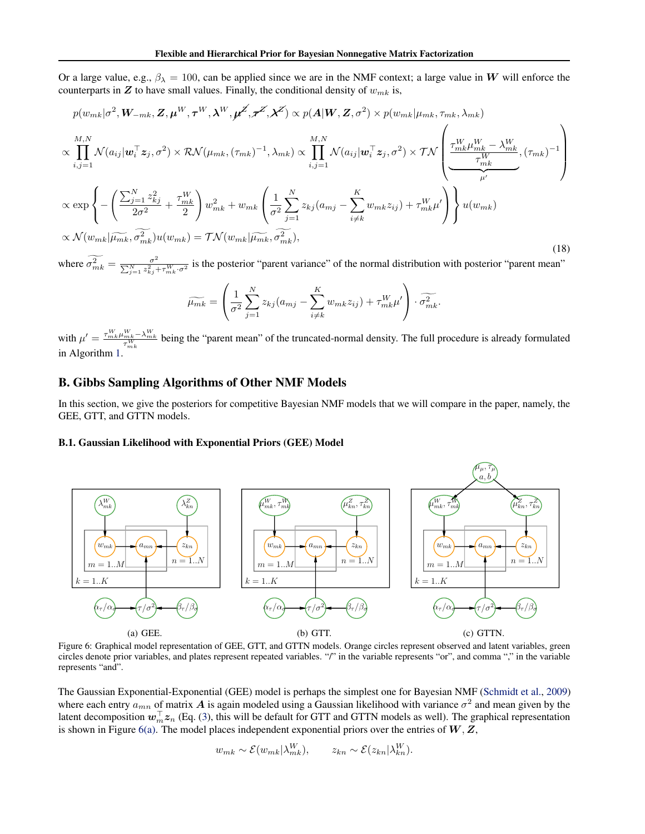<span id="page-9-0"></span>Or a large value, e.g.,  $\beta_{\lambda} = 100$ , can be applied since we are in the NMF context; a large value in W will enforce the counterparts in  $Z$  to have small values. Finally, the conditional density of  $w_{mk}$  is,

$$
p(w_{mk}|\sigma^2, \mathbf{W}_{-mk}, \mathbf{Z}, \boldsymbol{\mu}^W, \boldsymbol{\tau}^W, \boldsymbol{\lambda}^W, \boldsymbol{\mu}^Z, \boldsymbol{\tau}^Z, \boldsymbol{\lambda}^Z) \propto p(\mathbf{A}|\mathbf{W}, \mathbf{Z}, \sigma^2) \times p(w_{mk}|\mu_{mk}, \tau_{mk}, \lambda_{mk})
$$
  
\n
$$
\propto \prod_{i,j=1}^{M,N} \mathcal{N}(a_{ij}|\mathbf{w}_i^\top \mathbf{z}_j, \sigma^2) \times \mathcal{RN}(\mu_{mk}, (\tau_{mk})^{-1}, \lambda_{mk}) \propto \prod_{i,j=1}^{M,N} \mathcal{N}(a_{ij}|\mathbf{w}_i^\top \mathbf{z}_j, \sigma^2) \times \mathcal{TN} \left( \frac{\tau_{mk}^W \mu_{mk}^W - \lambda_{mk}^W}{\tau_{mk}^W}, (\tau_{mk})^{-1} \right)
$$
  
\n
$$
\propto \exp \left\{ -\left( \frac{\sum_{j=1}^N z_{kj}^2}{2\sigma^2} + \frac{\tau_{mk}^W}{2} \right) w_{mk}^2 + w_{mk} \left( \frac{1}{\sigma^2} \sum_{j=1}^N z_{kj} (a_{mj} - \sum_{i \neq k}^K w_{mk} z_{ij}) + \tau_{mk}^W \mu' \right) \right\} u(w_{mk})
$$
  
\n
$$
\propto \mathcal{N}(w_{mk}|\widetilde{\mu_{mk}}, \widetilde{\sigma_{mk}^2}) u(w_{mk}) = \mathcal{TN}(w_{mk}|\widetilde{\mu_{mk}}, \widetilde{\sigma_{mk}^2}),
$$
\n(18)

where  $\widetilde{\sigma_{mk}^2} = \frac{\sigma^2}{\sum_{i=1}^N z_{ki}^2}$  $\frac{\sigma^2}{\sum_{j=1}^N z_{kj}^2 + \tau_{mk}^W \cdot \sigma^2}$  is the posterior "parent variance" of the normal distribution with posterior "parent mean"

$$
\widetilde{\mu_{mk}} = \left(\frac{1}{\sigma^2} \sum_{j=1}^N z_{kj}(a_{mj} - \sum_{i \neq k}^K w_{mk} z_{ij}) + \tau_{mk}^W \mu'\right) \cdot \widetilde{\sigma_{mk}^2}.
$$

with  $\mu' = \frac{\tau_{mk}^W \mu_{mk}^W - \lambda_{mk}^W}{\tau_{mk}^W}$  being the "parent mean" of the truncated-normal density. The full procedure is already formulated in Algorithm [1.](#page-3-0)

## B. Gibbs Sampling Algorithms of Other NMF Models

In this section, we give the posteriors for competitive Bayesian NMF models that we will compare in the paper, namely, the GEE, GTT, and GTTN models.

#### B.1. Gaussian Likelihood with Exponential Priors (GEE) Model



Figure 6: Graphical model representation of GEE, GTT, and GTTN models. Orange circles represent observed and latent variables, green circles denote prior variables, and plates represent repeated variables. "/" in the variable represents "or", and comma "," in the variable represents "and".

The Gaussian Exponential-Exponential (GEE) model is perhaps the simplest one for Bayesian NMF [\(Schmidt et al.,](#page-7-0) [2009\)](#page-7-0) where each entry  $a_{mn}$  of matrix  $A$  is again modeled using a Gaussian likelihood with variance  $\sigma^2$  and mean given by the latent decomposition  $w_m^\top z_n$  (Eq. [\(3\)](#page-2-0), this will be default for GTT and GTTN models as well). The graphical representation is shown in Figure 6(a). The model places independent exponential priors over the entries of  $W, Z$ ,

$$
w_{mk} \sim \mathcal{E}(w_{mk}|\lambda_{mk}^W), \qquad z_{kn} \sim \mathcal{E}(z_{kn}|\lambda_{kn}^W).
$$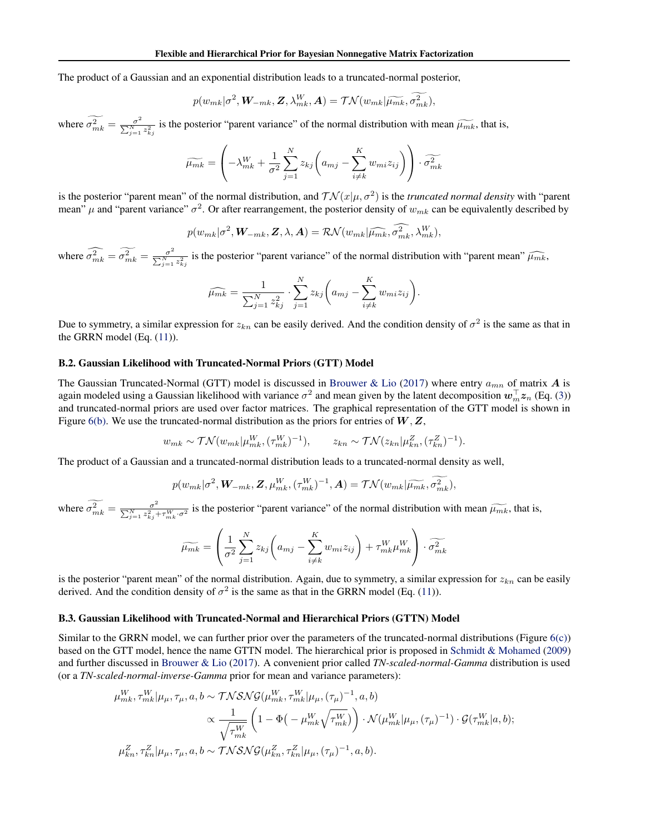The product of a Gaussian and an exponential distribution leads to a truncated-normal posterior,

$$
p(w_{mk}|\sigma^2, \mathbf{W}_{-mk}, \mathbf{Z}, \lambda_{mk}^W, \mathbf{A}) = \mathcal{TN}(w_{mk}|\widetilde{\mu_{mk}}, \widetilde{\sigma_{mk}^2}),
$$

where  $\widetilde{\sigma_{mk}^2} = \frac{\sigma^2}{\sum_{i=1}^{N}}$  $\frac{\sigma^2}{\sum_{j=1}^{N} z_{kj}^2}$  is the posterior "parent variance" of the normal distribution with mean  $\widetilde{\mu_{mk}}$ , that is,

$$
\widetilde{\mu_{mk}} = \left(-\lambda_{mk}^W + \frac{1}{\sigma^2} \sum_{j=1}^N z_{kj} \left(a_{mj} - \sum_{i \neq k}^K w_{mi} z_{ij}\right)\right) \cdot \widetilde{\sigma_{mk}^2}
$$

is the posterior "parent mean" of the normal distribution, and  $\mathcal{TN}(x|\mu,\sigma^2)$  is the *truncated normal density* with "parent mean"  $\mu$  and "parent variance"  $\sigma^2$ . Or after rearrangement, the posterior density of  $w_{mk}$  can be equivalently described by

$$
p(w_{mk}|\sigma^2, \mathbf{W}_{-mk}, \mathbf{Z}, \lambda, \mathbf{A}) = \mathcal{RN}(w_{mk}|\widehat{\mu_{mk}}, \widehat{\sigma}_{mk}^2, \lambda_{mk}^W),
$$

where  $\widehat{\sigma_{mk}^2} = \widetilde{\sigma_{mk}^2} = \frac{\sigma^2}{\sum_{i=1}^{N}}$  $\frac{\sigma^2}{\sum_{j=1}^{N} z_{kj}^2}$  is the posterior "parent variance" of the normal distribution with "parent mean"  $\widehat{\mu_{mk}}$ ,

$$
\widehat{\mu_{mk}} = \frac{1}{\sum_{j=1}^{N} z_{kj}^2} \cdot \sum_{j=1}^{N} z_{kj} \bigg( a_{mj} - \sum_{i \neq k}^{K} w_{mi} z_{ij} \bigg).
$$

Due to symmetry, a similar expression for  $z_{kn}$  can be easily derived. And the condition density of  $\sigma^2$  is the same as that in the GRRN model (Eq. [\(11\)](#page-4-0)).

### B.2. Gaussian Likelihood with Truncated-Normal Priors (GTT) Model

The Gaussian Truncated-Normal (GTT) model is discussed in [Brouwer & Lio](#page-7-0) [\(2017\)](#page-7-0) where entry  $a_{mn}$  of matrix A is again modeled using a Gaussian likelihood with variance  $\sigma^2$  and mean given by the latent decomposition  $w_m^{\top} z_n$  (Eq. [\(3\)](#page-2-0)) and truncated-normal priors are used over factor matrices. The graphical representation of the GTT model is shown in Figure [6\(b\).](#page-9-0) We use the truncated-normal distribution as the priors for entries of  $W, Z$ ,

$$
w_{mk} \sim \mathcal{TN}(w_{mk}|\mu_{mk}^W, (\tau_{mk}^W)^{-1}), \qquad z_{kn} \sim \mathcal{TN}(z_{kn}|\mu_{kn}^Z, (\tau_{kn}^Z)^{-1}).
$$

The product of a Gaussian and a truncated-normal distribution leads to a truncated-normal density as well,

$$
p(w_{mk}|\sigma^2, \mathbf{W}_{-mk}, \mathbf{Z}, \mu_{mk}^W, (\tau_{mk}^W)^{-1}, \mathbf{A}) = \mathcal{TN}(w_{mk}|\widetilde{\mu_{mk}}, \widetilde{\sigma_{mk}^2}),
$$

where  $\widetilde{\sigma_{mk}^2} = \frac{\sigma^2}{\sum_{i=1}^N z_{ki}^2}$  $\frac{\sigma^2}{\sum_{j=1}^N z_{kj}^2 + \tau_{mk}^W \cdot \sigma^2}$  is the posterior "parent variance" of the normal distribution with mean  $\widetilde{\mu_{mk}}$ , that is,

$$
\widetilde{\mu_{mk}} = \left(\frac{1}{\sigma^2} \sum_{j=1}^N z_{kj} \left(a_{mj} - \sum_{i \neq k}^K w_{mi} z_{ij}\right) + \tau_{mk}^W \mu_{mk}^W\right) \cdot \widetilde{\sigma_{mk}^2}
$$

is the posterior "parent mean" of the normal distribution. Again, due to symmetry, a similar expression for  $z_{kn}$  can be easily derived. And the condition density of  $\sigma^2$  is the same as that in the GRRN model (Eq. [\(11\)](#page-4-0)).

#### B.3. Gaussian Likelihood with Truncated-Normal and Hierarchical Priors (GTTN) Model

Similar to the GRRN model, we can further prior over the parameters of the truncated-normal distributions (Figure  $6(c)$ ) based on the GTT model, hence the name GTTN model. The hierarchical prior is proposed in [Schmidt & Mohamed](#page-7-0) [\(2009\)](#page-7-0) and further discussed in [Brouwer & Lio](#page-7-0) [\(2017\)](#page-7-0). A convenient prior called *TN-scaled-normal-Gamma* distribution is used (or a *TN-scaled-normal-inverse-Gamma* prior for mean and variance parameters):

$$
\mu_{mk}^W, \tau_{mk}^W | \mu_\mu, \tau_\mu, a, b \sim \mathcal{TN} \mathcal{SNG}(\mu_{mk}^W, \tau_{mk}^W | \mu_\mu, (\tau_\mu)^{-1}, a, b)
$$
  

$$
\propto \frac{1}{\sqrt{\tau_{mk}^W}} \left( 1 - \Phi\left( -\mu_{mk}^W \sqrt{\tau_{mk}^W} \right) \right) \cdot \mathcal{N}(\mu_{mk}^W | \mu_\mu, (\tau_\mu)^{-1}) \cdot \mathcal{G}(\tau_{mk}^W | a, b);
$$
  

$$
\mu_{kn}^Z, \tau_{kn}^Z | \mu_\mu, \tau_\mu, a, b \sim \mathcal{TN} \mathcal{SNG}(\mu_{kn}^Z, \tau_{kn}^Z | \mu_\mu, (\tau_\mu)^{-1}, a, b).
$$